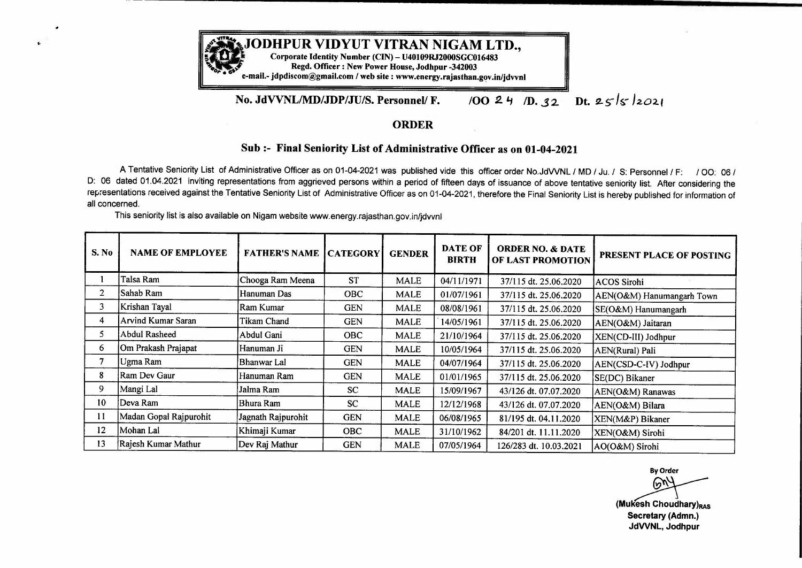

## **No. JdVVNL/MD/JDP/JU/S. Personnel/ F.**  *JOO 2. '1 ID •* **..S 2 Dt. 2-** *5- /* **s- /** *2.02.* <sup>f</sup>

## **ORDER**

## **Sub:- Final Seniority List of Administrative Officer as on 01-04-2021**

A Tentative Seniority List of Administrative Officer as on 01-04-2021 was published vide this officer order No.JdWNL /MD/ Ju. *I* S: Personnel/ F: / 00: 06 / D: 06 dated 01.04.2021 inviting representations from aggrieved persons within a period of fifteen days of issuance of above tentative seniority list. After considering the representations received against the Tentative Seniority List of Administrative Officer as on 01-04-2021, therefore the Final Seniority List is hereby published for information of all concerned.

This seniority list is also available on Nigam website www.energy.rajasthan.gov.in/jdvvnl

| S. No          | <b>NAME OF EMPLOYEE</b> | <b>FATHER'S NAME CATEGORY</b> |            | <b>GENDER</b> | <b>DATE OF</b><br><b>BIRTH</b> | <b>ORDER NO. &amp; DATE</b><br>OF LAST PROMOTION | PRESENT PLACE OF POSTING                                                               |
|----------------|-------------------------|-------------------------------|------------|---------------|--------------------------------|--------------------------------------------------|----------------------------------------------------------------------------------------|
|                | Talsa Ram               | Chooga Ram Meena              | <b>ST</b>  | <b>MALE</b>   | 04/11/1971                     | 37/115 dt. 25.06.2020                            | <b>ACOS Sirohi</b>                                                                     |
| $\overline{2}$ | Sahab Ram               | Hanuman Das                   | <b>OBC</b> | <b>MALE</b>   | 01/07/1961                     | 37/115 dt. 25.06.2020                            | AEN(O&M) Hanumangarh Town                                                              |
| 3              | Krishan Tayal           | Ram Kumar                     | <b>GEN</b> | <b>MALE</b>   | 08/08/1961                     | 37/115 dt. 25.06.2020                            | SE(O&M) Hanumangarh                                                                    |
| 4              | Arvind Kumar Saran      | Tikam Chand                   | <b>GEN</b> | <b>MALE</b>   | 14/05/1961                     | 37/115 dt. 25.06.2020                            | AEN(O&M) Jaitaran                                                                      |
| 5              | <b>Abdul Rasheed</b>    | Abdul Gani                    | OBC        | <b>MALE</b>   | 21/10/1964                     | 37/115 dt. 25.06.2020                            | XEN(CD-III) Jodhpur                                                                    |
| 6              | Om Prakash Prajapat     | Hanuman Ji                    | <b>GEN</b> | <b>MALE</b>   | 10/05/1964                     | 37/115 dt. 25.06.2020                            | AEN(Rural) Pali                                                                        |
| 7              | Ugma Ram                | Bhanwar Lal                   | <b>GEN</b> | <b>MALE</b>   | 04/07/1964                     | 37/115 dt. 25.06.2020                            | AEN(CSD-C-IV) Jodhpur                                                                  |
| 8              | Ram Dev Gaur            | Hanuman Ram                   | <b>GEN</b> | <b>MALE</b>   | 01/01/1965                     | 37/115 dt. 25.06.2020                            | SE(DC) Bikaner                                                                         |
| 9              | Mangi Lal               | Jalma Ram                     | <b>SC</b>  | <b>MALE</b>   | 15/09/1967                     | 43/126 dt. 07.07.2020                            | AEN(O&M) Ranawas                                                                       |
| 10             | Deva Ram                | Bhura Ram                     | <b>SC</b>  | <b>MALE</b>   | 12/12/1968                     | 43/126 dt. 07.07.2020                            | AEN(O&M) Bilara                                                                        |
| 11             | Madan Gopal Rajpurohit  | Jagnath Rajpurohit            | <b>GEN</b> | <b>MALE</b>   | 06/08/1965                     | 81/195 dt. 04.11.2020                            | XEN(M&P) Bikaner                                                                       |
| 12             | Mohan Lal               | Khimaji Kumar                 | <b>OBC</b> | <b>MALE</b>   | 31/10/1962                     | 84/201 dt. 11.11.2020                            | XEN(O&M) Sirohi                                                                        |
| 13             | Rajesh Kumar Mathur     | Dev Raj Mathur                | <b>GEN</b> | <b>MALE</b>   | 07/05/1964                     | 126/283 dt. 10.03.2021                           | AO(O&M) Sirohi                                                                         |
|                |                         |                               |            |               |                                |                                                  | <b>By Order</b><br>60<br>(Mukesh Choudhary)RAS<br>Secretary (Admn.)<br>JdVVNL. Jodhour |

**By Order (Mukesh Choudhary)**<sub>RAS</sub> **Secretary (Admn.) JdWNL, Jodhpur**